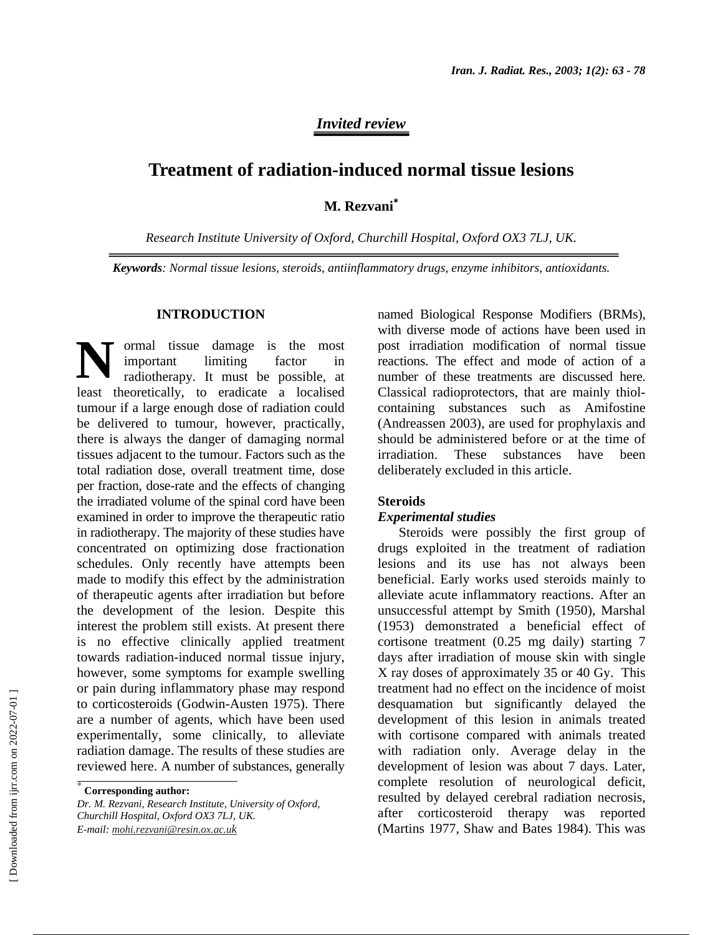## *Invited review*

# **Treatment of radiation-induced normal tissue lesions**

**M. Rezvani**<sup>∗</sup>

*Research Institute University of Oxford, Churchill Hospital, Oxford OX3 7LJ, UK.* 

*Keywords: Normal tissue lesions, steroids, antiinflammatory drugs, enzyme inhibitors, antioxidants.* 

#### **INTRODUCTION**

ormal tissue damage is the most important limiting factor in radiotherapy. It must be possible, at least theoretically, to eradicate a localised tumour if a large enough dose of radiation could be delivered to tumour, however, practically, there is always the danger of damaging normal tissues adjacent to the tumour. Factors such as the total radiation dose, overall treatment time, dose per fraction, dose-rate and the effects of changing the irradiated volume of the spinal cord have been examined in order to improve the therapeutic ratio in radiotherapy. The majority of these studies have concentrated on optimizing dose fractionation schedules. Only recently have attempts been made to modify this effect by the administration of therapeutic agents after irradiation but before the development of the lesion. Despite this interest the problem still exists. At present there is no effective clinically applied treatment towards radiation-induced normal tissue injury, however, some symptoms for example swelling or pain during inflammatory phase may respond to corticosteroids (Godwin-Austen 1975). There are a number of agents, which have been used experimentally, some clinically, to alleviate radiation damage. The results of these studies are reviewed here. A number of substances, generally **N**

*Dr. M. Rezvani, Research Institute, University of Oxford, Churchill Hospital, Oxford OX3 7LJ, UK. E-mail: mohi.rezvani@resin.ox.ac.uk*

named Biological Response Modifiers (BRMs), with diverse mode of actions have been used in post irradiation modification of normal tissue reactions. The effect and mode of action of a number of these treatments are discussed here. Classical radioprotectors, that are mainly thiolcontaining substances such as Amifostine (Andreassen 2003), are used for prophylaxis and should be administered before or at the time of irradiation. These substances have been deliberately excluded in this article.

#### **Steroids**

#### *Experimental studies*

Steroids were possibly the first group of drugs exploited in the treatment of radiation lesions and its use has not always been beneficial. Early works used steroids mainly to alleviate acute inflammatory reactions. After an unsuccessful attempt by Smith (1950), Marshal (1953) demonstrated a beneficial effect of cortisone treatment (0.25 mg daily) starting 7 days after irradiation of mouse skin with single X ray doses of approximately 35 or 40 Gy. This treatment had no effect on the incidence of moist desquamation but significantly delayed the development of this lesion in animals treated with cortisone compared with animals treated with radiation only. Average delay in the development of lesion was about 7 days. Later, complete resolution of neurological deficit, resulted by delayed cerebral radiation necrosis, after corticosteroid therapy was reported (Martins 1977, Shaw and Bates 1984). This was

<sup>∗</sup>  **Corresponding author:**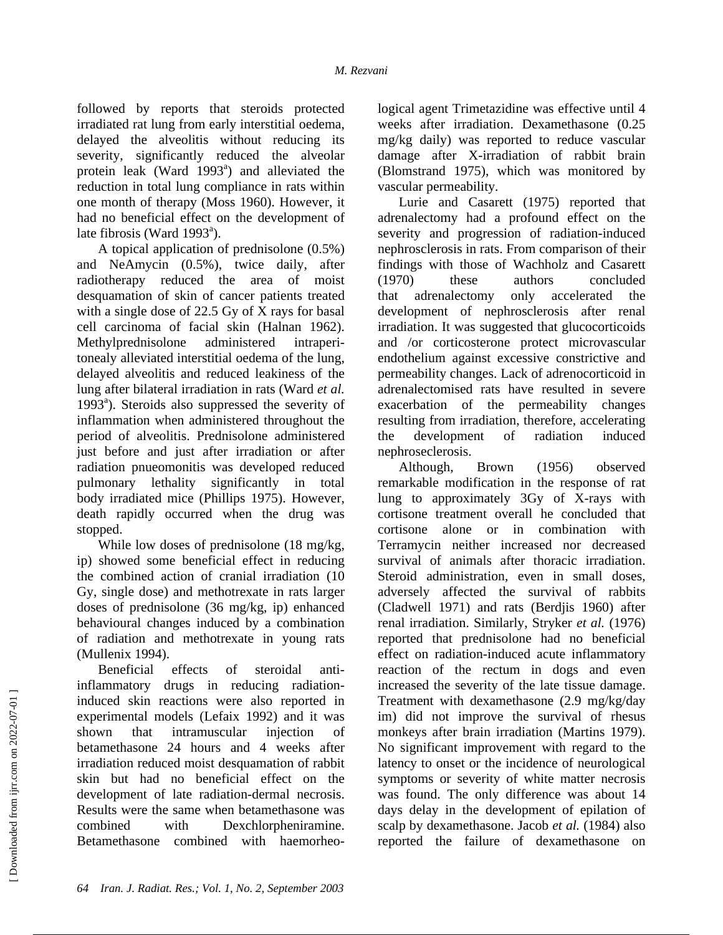followed by reports that steroids protected irradiated rat lung from early interstitial oedema, delayed the alveolitis without reducing its severity, significantly reduced the alveolar protein leak (Ward 1993<sup>a</sup>) and alleviated the reduction in total lung compliance in rats within one month of therapy (Moss 1960). However, it had no beneficial effect on the development of late fibrosis (Ward 1993 $a$ ).

A topical application of prednisolone (0.5%) and NeAmycin (0.5%), twice daily, after radiotherapy reduced the area of moist desquamation of skin of cancer patients treated with a single dose of 22.5 Gy of X rays for basal cell carcinoma of facial skin (Halnan 1962). Methylprednisolone administered intraperitonealy alleviated interstitial oedema of the lung, delayed alveolitis and reduced leakiness of the lung after bilateral irradiation in rats (Ward *et al.* 1993<sup>a</sup>). Steroids also suppressed the severity of inflammation when administered throughout the period of alveolitis. Prednisolone administered just before and just after irradiation or after radiation pnueomonitis was developed reduced pulmonary lethality significantly in total body irradiated mice (Phillips 1975). However, death rapidly occurred when the drug was stopped.

While low doses of prednisolone (18 mg/kg, ip) showed some beneficial effect in reducing the combined action of cranial irradiation (10 Gy, single dose) and methotrexate in rats larger doses of prednisolone (36 mg/kg, ip) enhanced behavioural changes induced by a combination of radiation and methotrexate in young rats (Mullenix 1994).

Beneficial effects of steroidal antiinflammatory drugs in reducing radiationinduced skin reactions were also reported in experimental models (Lefaix 1992) and it was shown that intramuscular injection of betamethasone 24 hours and 4 weeks after irradiation reduced moist desquamation of rabbit skin but had no beneficial effect on the development of late radiation-dermal necrosis. Results were the same when betamethasone was combined with Dexchlorpheniramine. Betamethasone combined with haemorheological agent Trimetazidine was effective until 4 weeks after irradiation. Dexamethasone (0.25 mg/kg daily) was reported to reduce vascular damage after X-irradiation of rabbit brain (Blomstrand 1975), which was monitored by vascular permeability.

Lurie and Casarett (1975) reported that adrenalectomy had a profound effect on the severity and progression of radiation-induced nephrosclerosis in rats. From comparison of their findings with those of Wachholz and Casarett (1970) these authors concluded that adrenalectomy only accelerated the development of nephrosclerosis after renal irradiation. It was suggested that glucocorticoids and /or corticosterone protect microvascular endothelium against excessive constrictive and permeability changes. Lack of adrenocorticoid in adrenalectomised rats have resulted in severe exacerbation of the permeability changes resulting from irradiation, therefore, accelerating the development of radiation induced nephroseclerosis.

Although, Brown (1956) observed remarkable modification in the response of rat lung to approximately 3Gy of X-rays with cortisone treatment overall he concluded that cortisone alone or in combination with Terramycin neither increased nor decreased survival of animals after thoracic irradiation. Steroid administration, even in small doses, adversely affected the survival of rabbits (Cladwell 1971) and rats (Berdjis 1960) after renal irradiation. Similarly, Stryker *et al.* (1976) reported that prednisolone had no beneficial effect on radiation-induced acute inflammatory reaction of the rectum in dogs and even increased the severity of the late tissue damage. Treatment with dexamethasone (2.9 mg/kg/day im) did not improve the survival of rhesus monkeys after brain irradiation (Martins 1979). No significant improvement with regard to the latency to onset or the incidence of neurological symptoms or severity of white matter necrosis was found. The only difference was about 14 days delay in the development of epilation of scalp by dexamethasone. Jacob *et al.* (1984) also reported the failure of dexamethasone on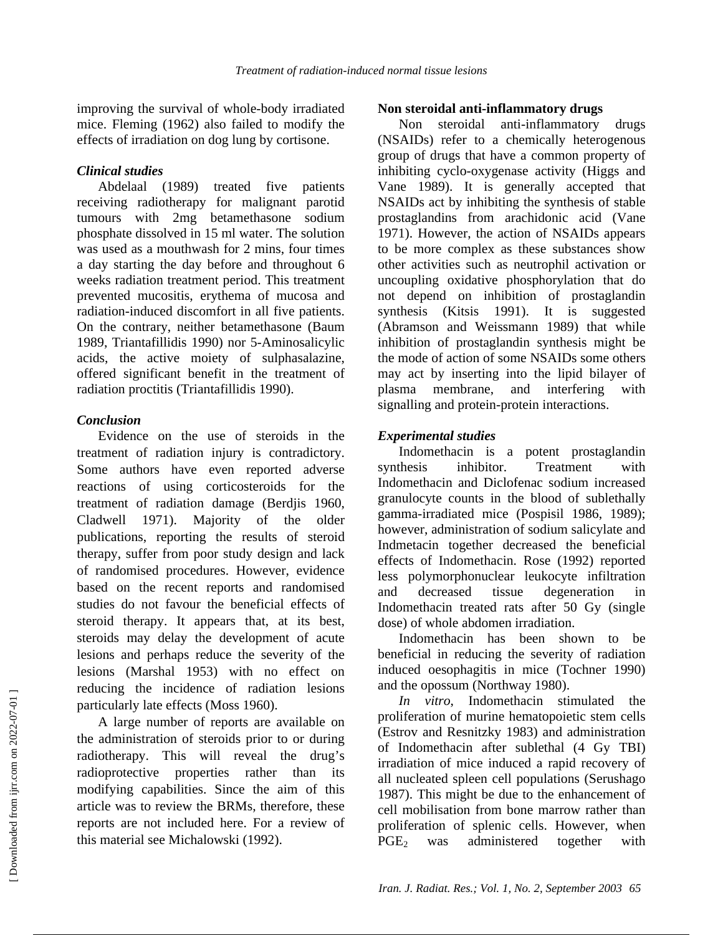improving the survival of whole-body irradiated mice. Fleming (1962) also failed to modify the effects of irradiation on dog lung by cortisone.

#### *Clinical studies*

Abdelaal (1989) treated five patients receiving radiotherapy for malignant parotid tumours with 2mg betamethasone sodium phosphate dissolved in 15 ml water. The solution was used as a mouthwash for 2 mins, four times a day starting the day before and throughout 6 weeks radiation treatment period. This treatment prevented mucositis, erythema of mucosa and radiation-induced discomfort in all five patients. On the contrary, neither betamethasone (Baum 1989, Triantafillidis 1990) nor 5-Aminosalicylic acids, the active moiety of sulphasalazine, offered significant benefit in the treatment of radiation proctitis (Triantafillidis 1990).

#### *Conclusion*

Evidence on the use of steroids in the treatment of radiation injury is contradictory. Some authors have even reported adverse reactions of using corticosteroids for the treatment of radiation damage (Berdjis 1960, Cladwell 1971). Majority of the older publications, reporting the results of steroid therapy, suffer from poor study design and lack of randomised procedures. However, evidence based on the recent reports and randomised studies do not favour the beneficial effects of steroid therapy. It appears that, at its best, steroids may delay the development of acute lesions and perhaps reduce the severity of the lesions (Marshal 1953) with no effect on reducing the incidence of radiation lesions particularly late effects (Moss 1960).

A large number of reports are available on the administration of steroids prior to or during radiotherapy. This will reveal the drug's radioprotective properties rather than its modifying capabilities. Since the aim of this article was to review the BRMs, therefore, these reports are not included here. For a review of this material see Michalowski (1992).

#### **Non steroidal anti-inflammatory drugs**

Non steroidal anti-inflammatory drugs (NSAIDs) refer to a chemically heterogenous group of drugs that have a common property of inhibiting cyclo-oxygenase activity (Higgs and Vane 1989). It is generally accepted that NSAIDs act by inhibiting the synthesis of stable prostaglandins from arachidonic acid (Vane 1971). However, the action of NSAIDs appears to be more complex as these substances show other activities such as neutrophil activation or uncoupling oxidative phosphorylation that do not depend on inhibition of prostaglandin synthesis (Kitsis 1991). It is suggested (Abramson and Weissmann 1989) that while inhibition of prostaglandin synthesis might be the mode of action of some NSAIDs some others may act by inserting into the lipid bilayer of plasma membrane, and interfering with signalling and protein-protein interactions.

### *Experimental studies*

Indomethacin is a potent prostaglandin synthesis inhibitor. Treatment with Indomethacin and Diclofenac sodium increased granulocyte counts in the blood of sublethally gamma-irradiated mice (Pospisil 1986, 1989); however, administration of sodium salicylate and Indmetacin together decreased the beneficial effects of Indomethacin. Rose (1992) reported less polymorphonuclear leukocyte infiltration and decreased tissue degeneration in Indomethacin treated rats after 50 Gy (single dose) of whole abdomen irradiation.

Indomethacin has been shown to be beneficial in reducing the severity of radiation induced oesophagitis in mice (Tochner 1990) and the opossum (Northway 1980).

*In vitro*, Indomethacin stimulated the proliferation of murine hematopoietic stem cells (Estrov and Resnitzky 1983) and administration of Indomethacin after sublethal (4 Gy TBI) irradiation of mice induced a rapid recovery of all nucleated spleen cell populations (Serushago 1987). This might be due to the enhancement of cell mobilisation from bone marrow rather than proliferation of splenic cells. However, when  $PGE<sub>2</sub>$  was administered together with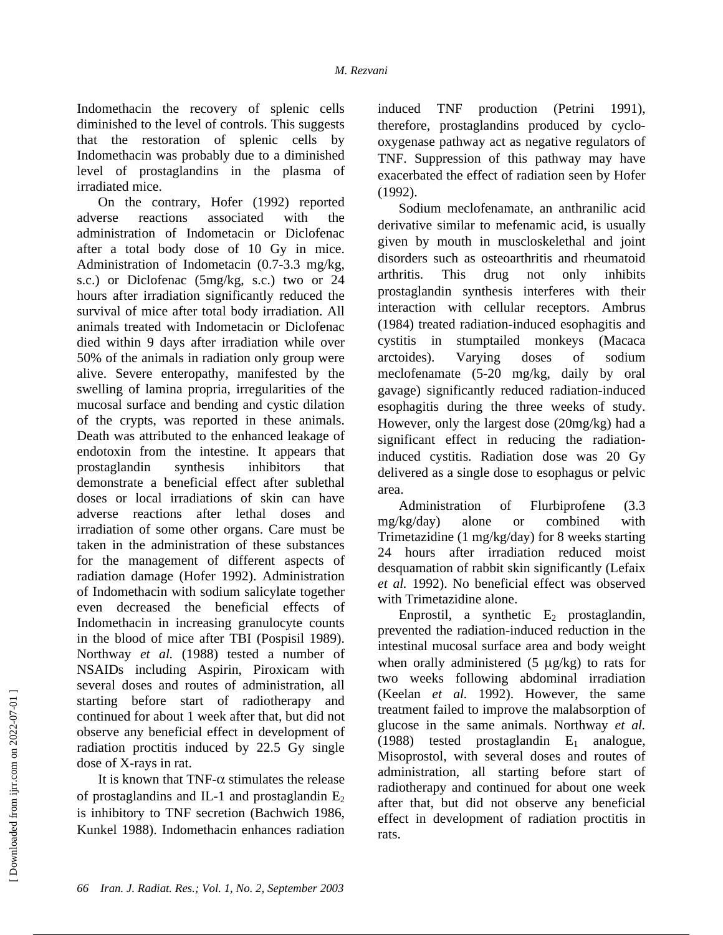Indomethacin the recovery of splenic cells diminished to the level of controls. This suggests that the restoration of splenic cells by Indomethacin was probably due to a diminished level of prostaglandins in the plasma of irradiated mice.

On the contrary, Hofer (1992) reported adverse reactions associated with the administration of Indometacin or Diclofenac after a total body dose of 10 Gy in mice. Administration of Indometacin (0.7-3.3 mg/kg, s.c.) or Diclofenac (5mg/kg, s.c.) two or 24 hours after irradiation significantly reduced the survival of mice after total body irradiation. All animals treated with Indometacin or Diclofenac died within 9 days after irradiation while over 50% of the animals in radiation only group were alive. Severe enteropathy, manifested by the swelling of lamina propria, irregularities of the mucosal surface and bending and cystic dilation of the crypts, was reported in these animals. Death was attributed to the enhanced leakage of endotoxin from the intestine. It appears that prostaglandin synthesis inhibitors that demonstrate a beneficial effect after sublethal doses or local irradiations of skin can have adverse reactions after lethal doses and irradiation of some other organs. Care must be taken in the administration of these substances for the management of different aspects of radiation damage (Hofer 1992). Administration of Indomethacin with sodium salicylate together even decreased the beneficial effects of Indomethacin in increasing granulocyte counts in the blood of mice after TBI (Pospisil 1989). Northway *et al.* (1988) tested a number of NSAIDs including Aspirin, Piroxicam with several doses and routes of administration, all starting before start of radiotherapy and continued for about 1 week after that, but did not observe any beneficial effect in development of radiation proctitis induced by 22.5 Gy single dose of X-rays in rat.

It is known that TNF- $\alpha$  stimulates the release of prostaglandins and IL-1 and prostaglandin  $E_2$ is inhibitory to TNF secretion (Bachwich 1986, Kunkel 1988). Indomethacin enhances radiation

induced TNF production (Petrini 1991), therefore, prostaglandins produced by cyclooxygenase pathway act as negative regulators of TNF. Suppression of this pathway may have exacerbated the effect of radiation seen by Hofer (1992).

Sodium meclofenamate, an anthranilic acid derivative similar to mefenamic acid, is usually given by mouth in muscloskelethal and joint disorders such as osteoarthritis and rheumatoid arthritis. This drug not only inhibits prostaglandin synthesis interferes with their interaction with cellular receptors. Ambrus (1984) treated radiation-induced esophagitis and cystitis in stumptailed monkeys (Macaca arctoides). Varying doses of sodium meclofenamate (5-20 mg/kg, daily by oral gavage) significantly reduced radiation-induced esophagitis during the three weeks of study. However, only the largest dose (20mg/kg) had a significant effect in reducing the radiationinduced cystitis. Radiation dose was 20 Gy delivered as a single dose to esophagus or pelvic area.

Administration of Flurbiprofene (3.3 mg/kg/day) alone or combined with Trimetazidine (1 mg/kg/day) for 8 weeks starting 24 hours after irradiation reduced moist desquamation of rabbit skin significantly (Lefaix *et al.* 1992). No beneficial effect was observed with Trimetazidine alone.

Enprostil, a synthetic  $E_2$  prostaglandin, prevented the radiation-induced reduction in the intestinal mucosal surface area and body weight when orally administered  $(5 \mu g/kg)$  to rats for two weeks following abdominal irradiation (Keelan *et al.* 1992). However, the same treatment failed to improve the malabsorption of glucose in the same animals. Northway *et al.* (1988) tested prostaglandin  $E_1$  analogue, Misoprostol, with several doses and routes of administration, all starting before start of radiotherapy and continued for about one week after that, but did not observe any beneficial effect in development of radiation proctitis in rats.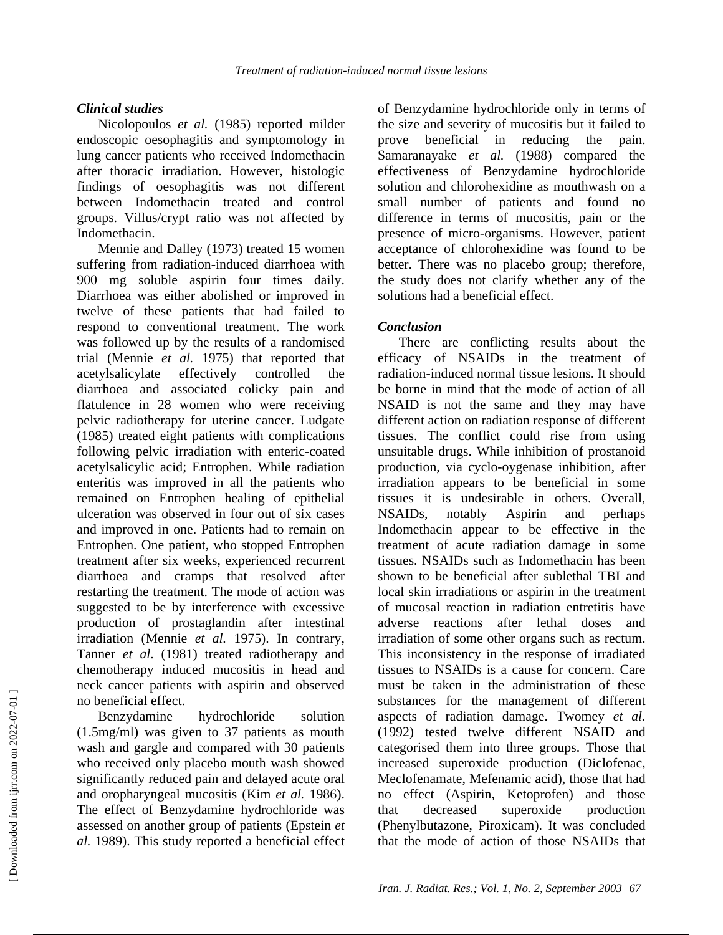# *Clinical studies*

Nicolopoulos *et al.* (1985) reported milder endoscopic oesophagitis and symptomology in lung cancer patients who received Indomethacin after thoracic irradiation. However, histologic findings of oesophagitis was not different between Indomethacin treated and control groups. Villus/crypt ratio was not affected by Indomethacin.

Mennie and Dalley (1973) treated 15 women suffering from radiation-induced diarrhoea with 900 mg soluble aspirin four times daily. Diarrhoea was either abolished or improved in twelve of these patients that had failed to respond to conventional treatment. The work was followed up by the results of a randomised trial (Mennie *et al.* 1975) that reported that acetylsalicylate effectively controlled the diarrhoea and associated colicky pain and flatulence in 28 women who were receiving pelvic radiotherapy for uterine cancer. Ludgate (1985) treated eight patients with complications following pelvic irradiation with enteric-coated acetylsalicylic acid; Entrophen. While radiation enteritis was improved in all the patients who remained on Entrophen healing of epithelial ulceration was observed in four out of six cases and improved in one. Patients had to remain on Entrophen. One patient, who stopped Entrophen treatment after six weeks, experienced recurrent diarrhoea and cramps that resolved after restarting the treatment. The mode of action was suggested to be by interference with excessive production of prostaglandin after intestinal irradiation (Mennie *et al.* 1975). In contrary, Tanner *et al*. (1981) treated radiotherapy and chemotherapy induced mucositis in head and neck cancer patients with aspirin and observed no beneficial effect.

Benzydamine hydrochloride solution (1.5mg/ml) was given to 37 patients as mouth wash and gargle and compared with 30 patients who received only placebo mouth wash showed significantly reduced pain and delayed acute oral and oropharyngeal mucositis (Kim *et al.* 1986). The effect of Benzydamine hydrochloride was assessed on another group of patients (Epstein *et al.* 1989). This study reported a beneficial effect of Benzydamine hydrochloride only in terms of the size and severity of mucositis but it failed to prove beneficial in reducing the pain. Samaranayake *et al.* (1988) compared the effectiveness of Benzydamine hydrochloride solution and chlorohexidine as mouthwash on a small number of patients and found no difference in terms of mucositis, pain or the presence of micro-organisms. However, patient acceptance of chlorohexidine was found to be better. There was no placebo group; therefore, the study does not clarify whether any of the solutions had a beneficial effect.

# *Conclusion*

There are conflicting results about the efficacy of NSAIDs in the treatment of radiation-induced normal tissue lesions. It should be borne in mind that the mode of action of all NSAID is not the same and they may have different action on radiation response of different tissues. The conflict could rise from using unsuitable drugs. While inhibition of prostanoid production, via cyclo-oygenase inhibition, after irradiation appears to be beneficial in some tissues it is undesirable in others. Overall, NSAIDs, notably Aspirin and perhaps Indomethacin appear to be effective in the treatment of acute radiation damage in some tissues. NSAIDs such as Indomethacin has been shown to be beneficial after sublethal TBI and local skin irradiations or aspirin in the treatment of mucosal reaction in radiation entretitis have adverse reactions after lethal doses and irradiation of some other organs such as rectum. This inconsistency in the response of irradiated tissues to NSAIDs is a cause for concern. Care must be taken in the administration of these substances for the management of different aspects of radiation damage. Twomey *et al.* (1992) tested twelve different NSAID and categorised them into three groups. Those that increased superoxide production (Diclofenac, Meclofenamate, Mefenamic acid), those that had no effect (Aspirin, Ketoprofen) and those that decreased superoxide production (Phenylbutazone, Piroxicam). It was concluded that the mode of action of those NSAIDs that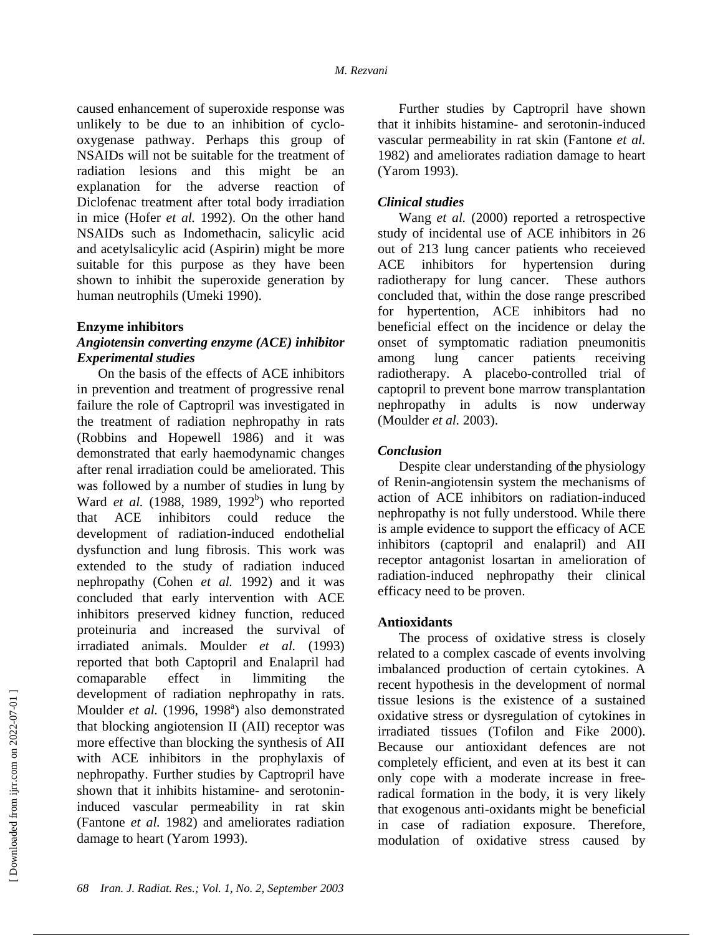caused enhancement of superoxide response was unlikely to be due to an inhibition of cyclooxygenase pathway. Perhaps this group of NSAIDs will not be suitable for the treatment of radiation lesions and this might be an explanation for the adverse reaction of Diclofenac treatment after total body irradiation in mice (Hofer *et al.* 1992). On the other hand NSAIDs such as Indomethacin, salicylic acid and acetylsalicylic acid (Aspirin) might be more suitable for this purpose as they have been shown to inhibit the superoxide generation by human neutrophils (Umeki 1990).

#### **Enzyme inhibitors**

#### *Angiotensin converting enzyme (ACE) inhibitor Experimental studies*

On the basis of the effects of ACE inhibitors in prevention and treatment of progressive renal failure the role of Captropril was investigated in the treatment of radiation nephropathy in rats (Robbins and Hopewell 1986) and it was demonstrated that early haemodynamic changes after renal irradiation could be ameliorated. This was followed by a number of studies in lung by Ward et al. (1988, 1989, 1992<sup>b</sup>) who reported that ACE inhibitors could reduce the development of radiation-induced endothelial dysfunction and lung fibrosis. This work was extended to the study of radiation induced nephropathy (Cohen *et al.* 1992) and it was concluded that early intervention with ACE inhibitors preserved kidney function, reduced proteinuria and increased the survival of irradiated animals. Moulder *et al.* (1993) reported that both Captopril and Enalapril had comaparable effect in limmiting the development of radiation nephropathy in rats. Moulder et al. (1996, 1998<sup>a</sup>) also demonstrated that blocking angiotension II (AII) receptor was more effective than blocking the synthesis of AII with ACE inhibitors in the prophylaxis of nephropathy. Further studies by Captropril have shown that it inhibits histamine- and serotonininduced vascular permeability in rat skin (Fantone *et al.* 1982) and ameliorates radiation damage to heart (Yarom 1993).

Further studies by Captropril have shown that it inhibits histamine- and serotonin-induced vascular permeability in rat skin (Fantone *et al.*  1982) and ameliorates radiation damage to heart (Yarom 1993).

### *Clinical studies*

Wang *et al.* (2000) reported a retrospective study of incidental use of ACE inhibitors in 26 out of 213 lung cancer patients who receieved ACE inhibitors for hypertension during radiotherapy for lung cancer. These authors concluded that, within the dose range prescribed for hypertention, ACE inhibitors had no beneficial effect on the incidence or delay the onset of symptomatic radiation pneumonitis among lung cancer patients receiving radiotherapy. A placebo-controlled trial of captopril to prevent bone marrow transplantation nephropathy in adults is now underway (Moulder *et al.* 2003).

#### *Conclusion*

Despite clear understanding of the physiology of Renin-angiotensin system the mechanisms of action of ACE inhibitors on radiation-induced nephropathy is not fully understood. While there is ample evidence to support the efficacy of ACE inhibitors (captopril and enalapril) and AII receptor antagonist losartan in amelioration of radiation-induced nephropathy their clinical efficacy need to be proven.

### **Antioxidants**

The process of oxidative stress is closely related to a complex cascade of events involving imbalanced production of certain cytokines. A recent hypothesis in the development of normal tissue lesions is the existence of a sustained oxidative stress or dysregulation of cytokines in irradiated tissues (Tofilon and Fike 2000). Because our antioxidant defences are not completely efficient, and even at its best it can only cope with a moderate increase in freeradical formation in the body, it is very likely that exogenous anti-oxidants might be beneficial in case of radiation exposure. Therefore, modulation of oxidative stress caused by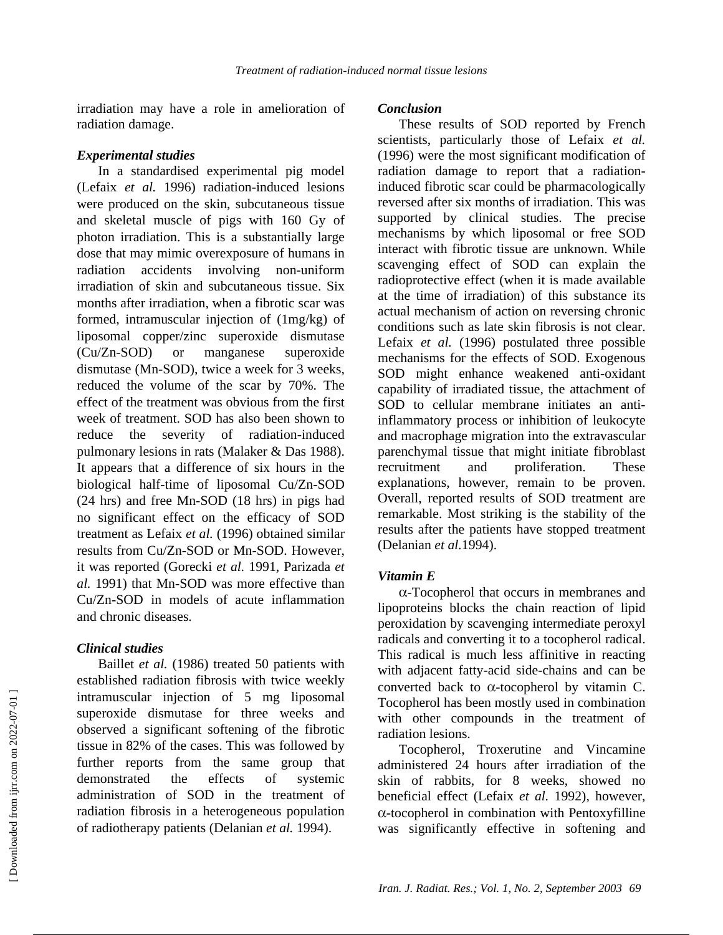irradiation may have a role in amelioration of radiation damage.

#### *Experimental studies*

In a standardised experimental pig model (Lefaix *et al.* 1996) radiation-induced lesions were produced on the skin, subcutaneous tissue and skeletal muscle of pigs with 160 Gy of photon irradiation. This is a substantially large dose that may mimic overexposure of humans in radiation accidents involving non-uniform irradiation of skin and subcutaneous tissue. Six months after irradiation, when a fibrotic scar was formed, intramuscular injection of (1mg/kg) of liposomal copper/zinc superoxide dismutase (Cu/Zn-SOD) or manganese superoxide dismutase (Mn-SOD), twice a week for 3 weeks, reduced the volume of the scar by 70%. The effect of the treatment was obvious from the first week of treatment. SOD has also been shown to reduce the severity of radiation-induced pulmonary lesions in rats (Malaker & Das 1988). It appears that a difference of six hours in the biological half-time of liposomal Cu/Zn-SOD (24 hrs) and free Mn-SOD (18 hrs) in pigs had no significant effect on the efficacy of SOD treatment as Lefaix *et al.* (1996) obtained similar results from Cu/Zn-SOD or Mn-SOD. However, it was reported (Gorecki *et al.* 1991, Parizada *et al.* 1991) that Mn-SOD was more effective than Cu/Zn-SOD in models of acute inflammation and chronic diseases.

# *Clinical studies*

Baillet *et al.* (1986) treated 50 patients with established radiation fibrosis with twice weekly intramuscular injection of 5 mg liposomal superoxide dismutase for three weeks and observed a significant softening of the fibrotic tissue in 82% of the cases. This was followed by further reports from the same group that demonstrated the effects of systemic administration of SOD in the treatment of radiation fibrosis in a heterogeneous population of radiotherapy patients (Delanian *et al.* 1994).

#### *Conclusion*

These results of SOD reported by French scientists, particularly those of Lefaix *et al.* (1996) were the most significant modification of radiation damage to report that a radiationinduced fibrotic scar could be pharmacologically reversed after six months of irradiation. This was supported by clinical studies. The precise mechanisms by which liposomal or free SOD interact with fibrotic tissue are unknown. While scavenging effect of SOD can explain the radioprotective effect (when it is made available at the time of irradiation) of this substance its actual mechanism of action on reversing chronic conditions such as late skin fibrosis is not clear. Lefaix *et al.* (1996) postulated three possible mechanisms for the effects of SOD. Exogenous SOD might enhance weakened anti-oxidant capability of irradiated tissue, the attachment of SOD to cellular membrane initiates an antiinflammatory process or inhibition of leukocyte and macrophage migration into the extravascular parenchymal tissue that might initiate fibroblast recruitment and proliferation. These explanations, however, remain to be proven. Overall, reported results of SOD treatment are remarkable. Most striking is the stability of the results after the patients have stopped treatment (Delanian *et al.*1994).

### *Vitamin E*

α-Tocopherol that occurs in membranes and lipoproteins blocks the chain reaction of lipid peroxidation by scavenging intermediate peroxyl radicals and converting it to a tocopherol radical. This radical is much less affinitive in reacting with adjacent fatty-acid side-chains and can be converted back to  $\alpha$ -tocopherol by vitamin C. Tocopherol has been mostly used in combination with other compounds in the treatment of radiation lesions.

Tocopherol, Troxerutine and Vincamine administered 24 hours after irradiation of the skin of rabbits, for 8 weeks, showed no beneficial effect (Lefaix *et al.* 1992), however, α-tocopherol in combination with Pentoxyfilline was significantly effective in softening and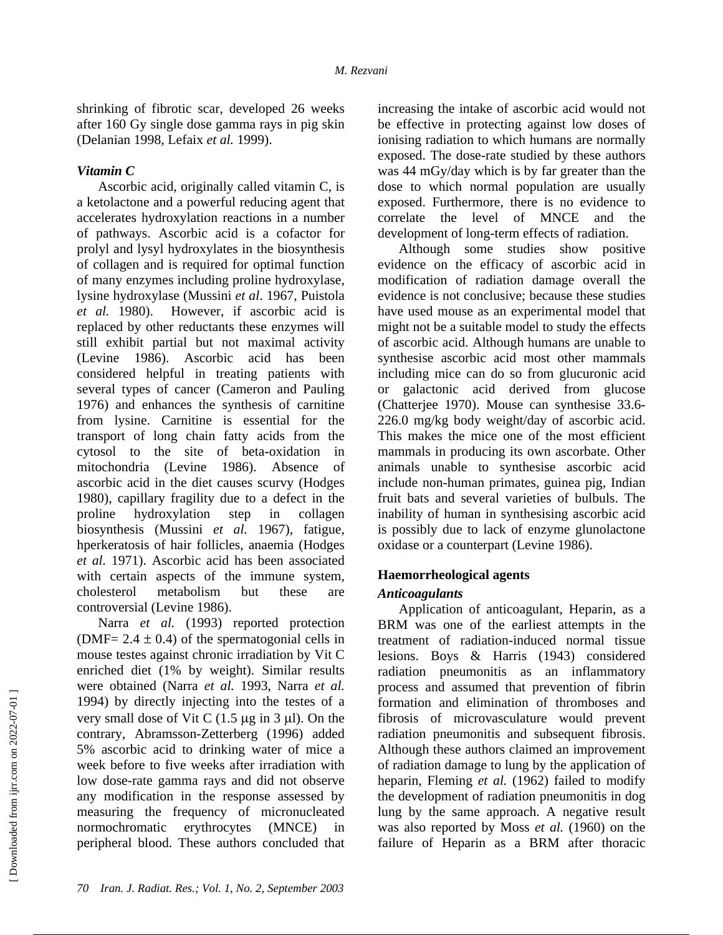shrinking of fibrotic scar, developed 26 weeks after 160 Gy single dose gamma rays in pig skin (Delanian 1998, Lefaix *et al.* 1999).

### *Vitamin C*

Ascorbic acid, originally called vitamin C, is a ketolactone and a powerful reducing agent that accelerates hydroxylation reactions in a number of pathways. Ascorbic acid is a cofactor for prolyl and lysyl hydroxylates in the biosynthesis of collagen and is required for optimal function of many enzymes including proline hydroxylase, lysine hydroxylase (Mussini *et al*. 1967, Puistola *et al.* 1980). However, if ascorbic acid is replaced by other reductants these enzymes will still exhibit partial but not maximal activity (Levine 1986). Ascorbic acid has been considered helpful in treating patients with several types of cancer (Cameron and Pauling 1976) and enhances the synthesis of carnitine from lysine. Carnitine is essential for the transport of long chain fatty acids from the cytosol to the site of beta-oxidation in mitochondria (Levine 1986). Absence of ascorbic acid in the diet causes scurvy (Hodges 1980), capillary fragility due to a defect in the proline hydroxylation step in collagen biosynthesis (Mussini *et al.* 1967), fatigue, hperkeratosis of hair follicles, anaemia (Hodges *et al.* 1971). Ascorbic acid has been associated with certain aspects of the immune system, cholesterol metabolism but these are controversial (Levine 1986).

Narra *et al.* (1993) reported protection (DMF=  $2.4 \pm 0.4$ ) of the spermatogonial cells in mouse testes against chronic irradiation by Vit C enriched diet (1% by weight). Similar results were obtained (Narra *et al.* 1993, Narra *et al.*  1994) by directly injecting into the testes of a very small dose of Vit C  $(1.5 \mu g \text{ in } 3 \mu l)$ . On the contrary, Abramsson-Zetterberg (1996) added 5% ascorbic acid to drinking water of mice a week before to five weeks after irradiation with low dose-rate gamma rays and did not observe any modification in the response assessed by measuring the frequency of micronucleated normochromatic erythrocytes (MNCE) in peripheral blood. These authors concluded that

increasing the intake of ascorbic acid would not be effective in protecting against low doses of ionising radiation to which humans are normally exposed. The dose-rate studied by these authors was 44 mGy/day which is by far greater than the dose to which normal population are usually exposed. Furthermore, there is no evidence to correlate the level of MNCE and the development of long-term effects of radiation.

Although some studies show positive evidence on the efficacy of ascorbic acid in modification of radiation damage overall the evidence is not conclusive; because these studies have used mouse as an experimental model that might not be a suitable model to study the effects of ascorbic acid. Although humans are unable to synthesise ascorbic acid most other mammals including mice can do so from glucuronic acid or galactonic acid derived from glucose (Chatterjee 1970). Mouse can synthesise 33.6- 226.0 mg/kg body weight/day of ascorbic acid. This makes the mice one of the most efficient mammals in producing its own ascorbate. Other animals unable to synthesise ascorbic acid include non-human primates, guinea pig, Indian fruit bats and several varieties of bulbuls. The inability of human in synthesising ascorbic acid is possibly due to lack of enzyme glunolactone oxidase or a counterpart (Levine 1986).

### **Haemorrheological agents**

### *Anticoagulants*

Application of anticoagulant, Heparin, as a BRM was one of the earliest attempts in the treatment of radiation-induced normal tissue lesions. Boys & Harris (1943) considered radiation pneumonitis as an inflammatory process and assumed that prevention of fibrin formation and elimination of thromboses and fibrosis of microvasculature would prevent radiation pneumonitis and subsequent fibrosis. Although these authors claimed an improvement of radiation damage to lung by the application of heparin, Fleming *et al.* (1962) failed to modify the development of radiation pneumonitis in dog lung by the same approach. A negative result was also reported by Moss *et al.* (1960) on the failure of Heparin as a BRM after thoracic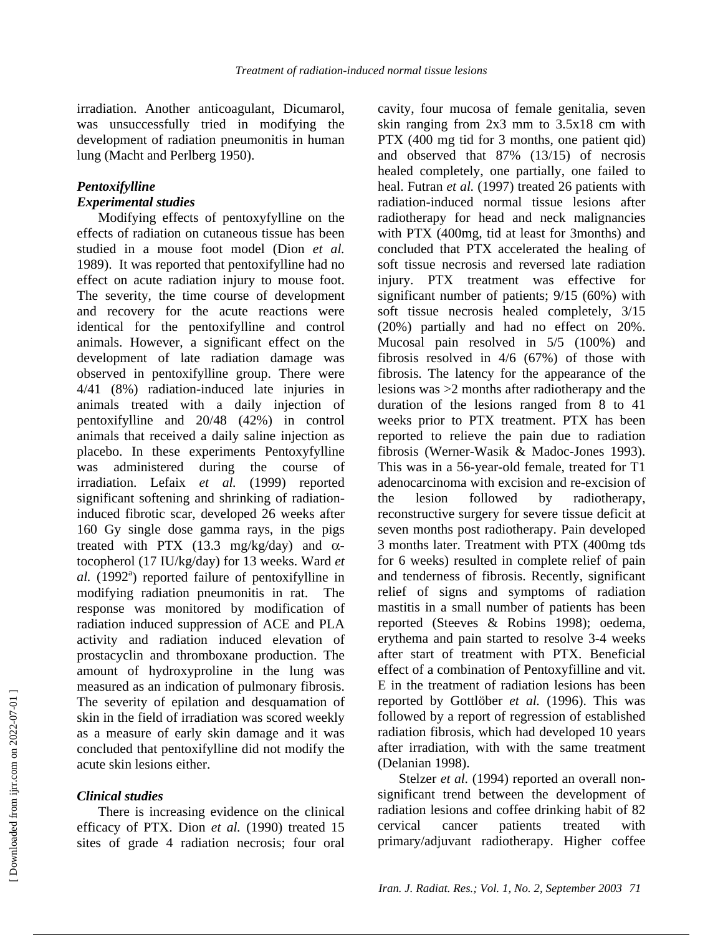irradiation. Another anticoagulant, Dicumarol, was unsuccessfully tried in modifying the development of radiation pneumonitis in human lung (Macht and Perlberg 1950).

#### *Pentoxifylline Experimental studies*

Modifying effects of pentoxyfylline on the effects of radiation on cutaneous tissue has been studied in a mouse foot model (Dion *et al.* 1989). It was reported that pentoxifylline had no effect on acute radiation injury to mouse foot. The severity, the time course of development and recovery for the acute reactions were identical for the pentoxifylline and control animals. However, a significant effect on the development of late radiation damage was observed in pentoxifylline group. There were 4/41 (8%) radiation-induced late injuries in animals treated with a daily injection of pentoxifylline and 20/48 (42%) in control animals that received a daily saline injection as placebo. In these experiments Pentoxyfylline was administered during the course of irradiation. Lefaix *et al.* (1999) reported significant softening and shrinking of radiationinduced fibrotic scar, developed 26 weeks after 160 Gy single dose gamma rays, in the pigs treated with PTX (13.3 mg/kg/day) and  $\alpha$ tocopherol (17 IU/kg/day) for 13 weeks. Ward *et*   $al.$  (1992<sup>a</sup>) reported failure of pentoxifylline in modifying radiation pneumonitis in rat. The response was monitored by modification of radiation induced suppression of ACE and PLA activity and radiation induced elevation of prostacyclin and thromboxane production. The amount of hydroxyproline in the lung was measured as an indication of pulmonary fibrosis. The severity of epilation and desquamation of skin in the field of irradiation was scored weekly as a measure of early skin damage and it was concluded that pentoxifylline did not modify the acute skin lesions either.

# *Clinical studies*

There is increasing evidence on the clinical efficacy of PTX. Dion *et al.* (1990) treated 15 sites of grade 4 radiation necrosis; four oral

cavity, four mucosa of female genitalia, seven skin ranging from 2x3 mm to 3.5x18 cm with PTX (400 mg tid for 3 months, one patient qid) and observed that 87% (13/15) of necrosis healed completely, one partially, one failed to heal. Futran *et al.* (1997) treated 26 patients with radiation-induced normal tissue lesions after radiotherapy for head and neck malignancies with PTX (400mg, tid at least for 3months) and concluded that PTX accelerated the healing of soft tissue necrosis and reversed late radiation injury. PTX treatment was effective for significant number of patients; 9/15 (60%) with soft tissue necrosis healed completely, 3/15 (20%) partially and had no effect on 20%. Mucosal pain resolved in 5/5 (100%) and fibrosis resolved in 4/6 (67%) of those with fibrosis. The latency for the appearance of the lesions was >2 months after radiotherapy and the duration of the lesions ranged from 8 to 41 weeks prior to PTX treatment. PTX has been reported to relieve the pain due to radiation fibrosis (Werner-Wasik & Madoc-Jones 1993). This was in a 56-year-old female, treated for T1 adenocarcinoma with excision and re-excision of the lesion followed by radiotherapy, reconstructive surgery for severe tissue deficit at seven months post radiotherapy. Pain developed 3 months later. Treatment with PTX (400mg tds for 6 weeks) resulted in complete relief of pain and tenderness of fibrosis. Recently, significant relief of signs and symptoms of radiation mastitis in a small number of patients has been reported (Steeves & Robins 1998); oedema, erythema and pain started to resolve 3-4 weeks after start of treatment with PTX. Beneficial effect of a combination of Pentoxyfilline and vit. E in the treatment of radiation lesions has been reported by Gottlöber *et al.* (1996). This was followed by a report of regression of established radiation fibrosis, which had developed 10 years after irradiation, with with the same treatment (Delanian 1998).

Stelzer *et al.* (1994) reported an overall nonsignificant trend between the development of radiation lesions and coffee drinking habit of 82 cervical cancer patients treated with primary/adjuvant radiotherapy. Higher coffee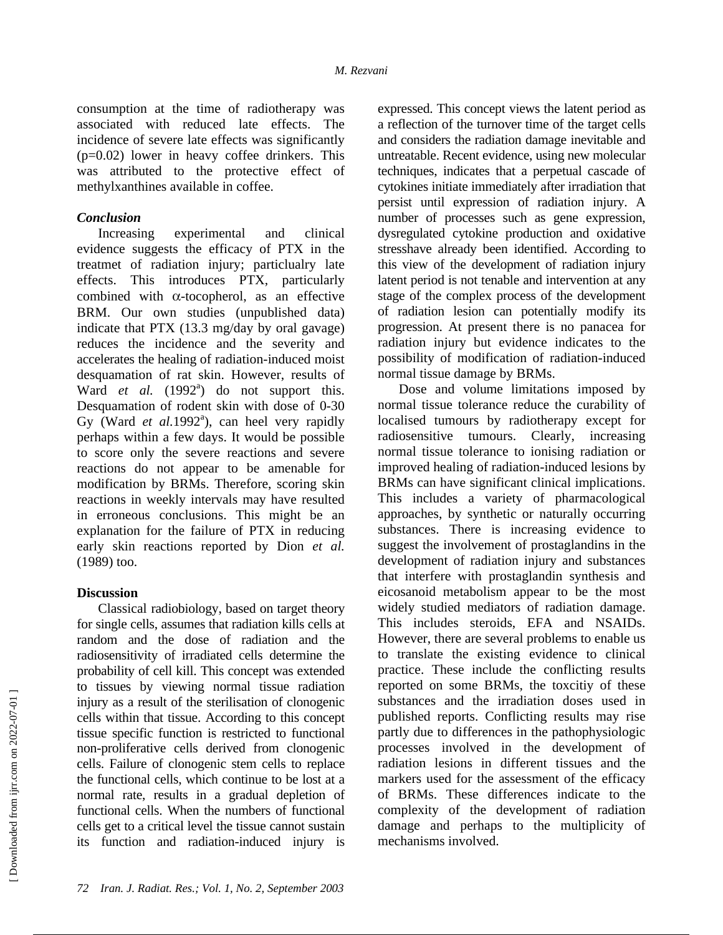consumption at the time of radiotherapy was associated with reduced late effects. The incidence of severe late effects was significantly (p=0.02) lower in heavy coffee drinkers. This was attributed to the protective effect of methylxanthines available in coffee.

#### *Conclusion*

Increasing experimental and clinical evidence suggests the efficacy of PTX in the treatmet of radiation injury; particlualry late effects. This introduces PTX, particularly combined with α-tocopherol, as an effective BRM. Our own studies (unpublished data) indicate that PTX (13.3 mg/day by oral gavage) reduces the incidence and the severity and accelerates the healing of radiation-induced moist desquamation of rat skin. However, results of Ward et al. (1992<sup>a</sup>) do not support this. Desquamation of rodent skin with dose of 0-30 Gy (Ward *et al.*1992<sup>a</sup>), can heel very rapidly perhaps within a few days. It would be possible to score only the severe reactions and severe reactions do not appear to be amenable for modification by BRMs. Therefore, scoring skin reactions in weekly intervals may have resulted in erroneous conclusions. This might be an explanation for the failure of PTX in reducing early skin reactions reported by Dion *et al.* (1989) too.

### **Discussion**

Classical radiobiology, based on target theory for single cells, assumes that radiation kills cells at random and the dose of radiation and the radiosensitivity of irradiated cells determine the probability of cell kill. This concept was extended to tissues by viewing normal tissue radiation injury as a result of the sterilisation of clonogenic cells within that tissue. According to this concept tissue specific function is restricted to functional non-proliferative cells derived from clonogenic cells. Failure of clonogenic stem cells to replace the functional cells, which continue to be lost at a normal rate, results in a gradual depletion of functional cells. When the numbers of functional cells get to a critical level the tissue cannot sustain its function and radiation-induced injury is

expressed. This concept views the latent period as a reflection of the turnover time of the target cells and considers the radiation damage inevitable and untreatable. Recent evidence, using new molecular techniques, indicates that a perpetual cascade of cytokines initiate immediately after irradiation that persist until expression of radiation injury. A number of processes such as gene expression, dysregulated cytokine production and oxidative stresshave already been identified. According to this view of the development of radiation injury latent period is not tenable and intervention at any stage of the complex process of the development of radiation lesion can potentially modify its progression. At present there is no panacea for radiation injury but evidence indicates to the possibility of modification of radiation-induced normal tissue damage by BRMs.

Dose and volume limitations imposed by normal tissue tolerance reduce the curability of localised tumours by radiotherapy except for radiosensitive tumours. Clearly, increasing normal tissue tolerance to ionising radiation or improved healing of radiation-induced lesions by BRMs can have significant clinical implications. This includes a variety of pharmacological approaches, by synthetic or naturally occurring substances. There is increasing evidence to suggest the involvement of prostaglandins in the development of radiation injury and substances that interfere with prostaglandin synthesis and eicosanoid metabolism appear to be the most widely studied mediators of radiation damage. This includes steroids, EFA and NSAIDs. However, there are several problems to enable us to translate the existing evidence to clinical practice. These include the conflicting results reported on some BRMs, the toxcitiy of these substances and the irradiation doses used in published reports. Conflicting results may rise partly due to differences in the pathophysiologic processes involved in the development of radiation lesions in different tissues and the markers used for the assessment of the efficacy of BRMs. These differences indicate to the complexity of the development of radiation damage and perhaps to the multiplicity of mechanisms involved.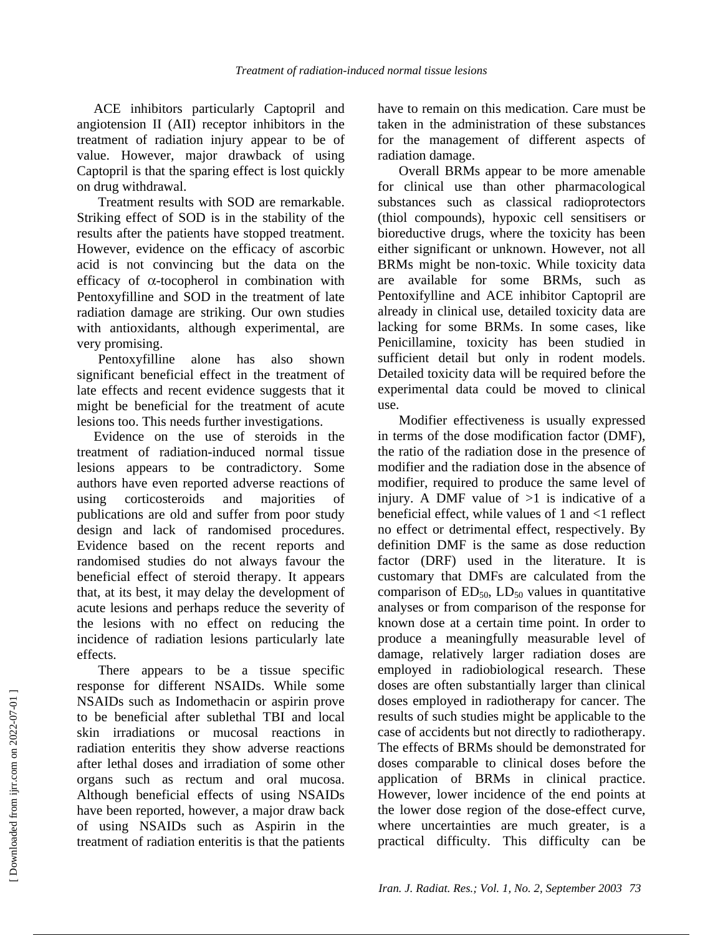ACE inhibitors particularly Captopril and angiotension II (AII) receptor inhibitors in the treatment of radiation injury appear to be of value. However, major drawback of using Captopril is that the sparing effect is lost quickly on drug withdrawal.

Treatment results with SOD are remarkable. Striking effect of SOD is in the stability of the results after the patients have stopped treatment. However, evidence on the efficacy of ascorbic acid is not convincing but the data on the efficacy of α-tocopherol in combination with Pentoxyfilline and SOD in the treatment of late radiation damage are striking. Our own studies with antioxidants, although experimental, are very promising.

Pentoxyfilline alone has also shown significant beneficial effect in the treatment of late effects and recent evidence suggests that it might be beneficial for the treatment of acute lesions too. This needs further investigations.

Evidence on the use of steroids in the treatment of radiation-induced normal tissue lesions appears to be contradictory. Some authors have even reported adverse reactions of using corticosteroids and majorities of publications are old and suffer from poor study design and lack of randomised procedures. Evidence based on the recent reports and randomised studies do not always favour the beneficial effect of steroid therapy. It appears that, at its best, it may delay the development of acute lesions and perhaps reduce the severity of the lesions with no effect on reducing the incidence of radiation lesions particularly late effects.

There appears to be a tissue specific response for different NSAIDs. While some NSAIDs such as Indomethacin or aspirin prove to be beneficial after sublethal TBI and local skin irradiations or mucosal reactions in radiation enteritis they show adverse reactions after lethal doses and irradiation of some other organs such as rectum and oral mucosa. Although beneficial effects of using NSAIDs have been reported, however, a major draw back of using NSAIDs such as Aspirin in the treatment of radiation enteritis is that the patients

have to remain on this medication. Care must be taken in the administration of these substances for the management of different aspects of radiation damage.

Overall BRMs appear to be more amenable for clinical use than other pharmacological substances such as classical radioprotectors (thiol compounds), hypoxic cell sensitisers or bioreductive drugs, where the toxicity has been either significant or unknown. However, not all BRMs might be non-toxic. While toxicity data are available for some BRMs, such as Pentoxifylline and ACE inhibitor Captopril are already in clinical use, detailed toxicity data are lacking for some BRMs. In some cases, like Penicillamine, toxicity has been studied in sufficient detail but only in rodent models. Detailed toxicity data will be required before the experimental data could be moved to clinical use.

Modifier effectiveness is usually expressed in terms of the dose modification factor (DMF), the ratio of the radiation dose in the presence of modifier and the radiation dose in the absence of modifier, required to produce the same level of injury. A DMF value of  $>1$  is indicative of a beneficial effect, while values of 1 and <1 reflect no effect or detrimental effect, respectively. By definition DMF is the same as dose reduction factor (DRF) used in the literature. It is customary that DMFs are calculated from the comparison of  $ED_{50}$ ,  $LD_{50}$  values in quantitative analyses or from comparison of the response for known dose at a certain time point. In order to produce a meaningfully measurable level of damage, relatively larger radiation doses are employed in radiobiological research. These doses are often substantially larger than clinical doses employed in radiotherapy for cancer. The results of such studies might be applicable to the case of accidents but not directly to radiotherapy. The effects of BRMs should be demonstrated for doses comparable to clinical doses before the application of BRMs in clinical practice. However, lower incidence of the end points at the lower dose region of the dose-effect curve, where uncertainties are much greater, is a practical difficulty. This difficulty can be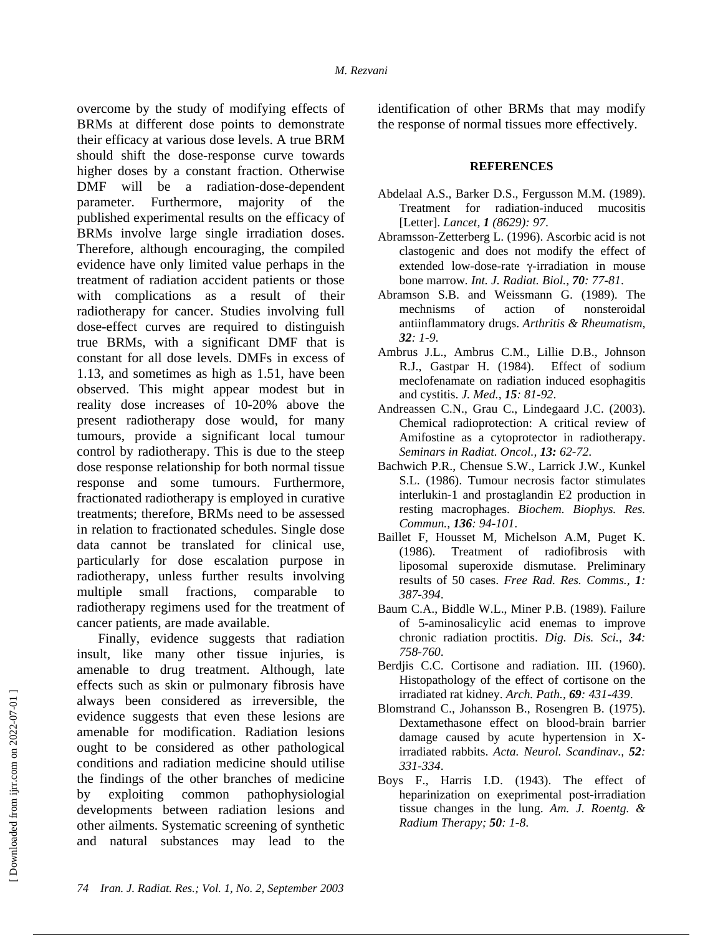overcome by the study of modifying effects of BRMs at different dose points to demonstrate their efficacy at various dose levels. A true BRM should shift the dose-response curve towards higher doses by a constant fraction. Otherwise DMF will be a radiation-dose-dependent parameter. Furthermore, majority of the published experimental results on the efficacy of BRMs involve large single irradiation doses. Therefore, although encouraging, the compiled evidence have only limited value perhaps in the treatment of radiation accident patients or those with complications as a result of their radiotherapy for cancer. Studies involving full dose-effect curves are required to distinguish true BRMs, with a significant DMF that is constant for all dose levels. DMFs in excess of 1.13, and sometimes as high as 1.51, have been observed. This might appear modest but in reality dose increases of 10-20% above the present radiotherapy dose would, for many tumours, provide a significant local tumour control by radiotherapy. This is due to the steep dose response relationship for both normal tissue response and some tumours. Furthermore, fractionated radiotherapy is employed in curative treatments; therefore, BRMs need to be assessed in relation to fractionated schedules. Single dose data cannot be translated for clinical use, particularly for dose escalation purpose in radiotherapy, unless further results involving multiple small fractions, comparable to radiotherapy regimens used for the treatment of cancer patients, are made available.

Finally, evidence suggests that radiation insult, like many other tissue injuries, is amenable to drug treatment. Although, late effects such as skin or pulmonary fibrosis have always been considered as irreversible, the evidence suggests that even these lesions are amenable for modification. Radiation lesions ought to be considered as other pathological conditions and radiation medicine should utilise the findings of the other branches of medicine by exploiting common pathophysiologial developments between radiation lesions and other ailments. Systematic screening of synthetic and natural substances may lead to the

identification of other BRMs that may modify the response of normal tissues more effectively.

#### **REFERENCES**

- Abdelaal A.S., Barker D.S., Fergusson M.M. (1989). Treatment for radiation-induced mucositis [Letter]. *Lancet, 1 (8629): 97*.
- Abramsson-Zetterberg L. (1996). Ascorbic acid is not clastogenic and does not modify the effect of extended low-dose-rate γ-irradiation in mouse bone marrow*. Int. J. Radiat. Biol., 70: 77-81*.
- Abramson S.B. and Weissmann G. (1989). The mechnisms of action of nonsteroidal antiinflammatory drugs. *Arthritis & Rheumatism, 32: 1-9*.
- Ambrus J.L., Ambrus C.M., Lillie D.B., Johnson R.J., Gastpar H. (1984). Effect of sodium meclofenamate on radiation induced esophagitis and cystitis. *J. Med., 15: 81-92*.
- Andreassen C.N., Grau C., Lindegaard J.C. (2003). Chemical radioprotection: A critical review of Amifostine as a cytoprotector in radiotherapy. *Seminars in Radiat. Oncol., 13: 62-72*.
- Bachwich P.R., Chensue S.W., Larrick J.W., Kunkel S.L. (1986). Tumour necrosis factor stimulates interlukin-1 and prostaglandin E2 production in resting macrophages. *Biochem. Biophys. Res. Commun., 136: 94-101*.
- Baillet F, Housset M, Michelson A.M, Puget K. (1986). Treatment of radiofibrosis with liposomal superoxide dismutase. Preliminary results of 50 cases. *Free Rad. Res. Comms., 1: 387-394*.
- Baum C.A., Biddle W.L., Miner P.B. (1989). Failure of 5-aminosalicylic acid enemas to improve chronic radiation proctitis. *Dig. Dis. Sci., 34: 758-760*.
- Berdjis C.C. Cortisone and radiation. III. (1960). Histopathology of the effect of cortisone on the irradiated rat kidney. *Arch. Path., 69: 431-439*.
- Blomstrand C., Johansson B., Rosengren B. (1975). Dextamethasone effect on blood-brain barrier damage caused by acute hypertension in Xirradiated rabbits. *Acta. Neurol. Scandinav., 52: 331-334*.
- Boys F., Harris I.D. (1943). The effect of heparinization on exeprimental post-irradiation tissue changes in the lung. *Am. J. Roentg. & Radium Therapy; 50: 1-8*.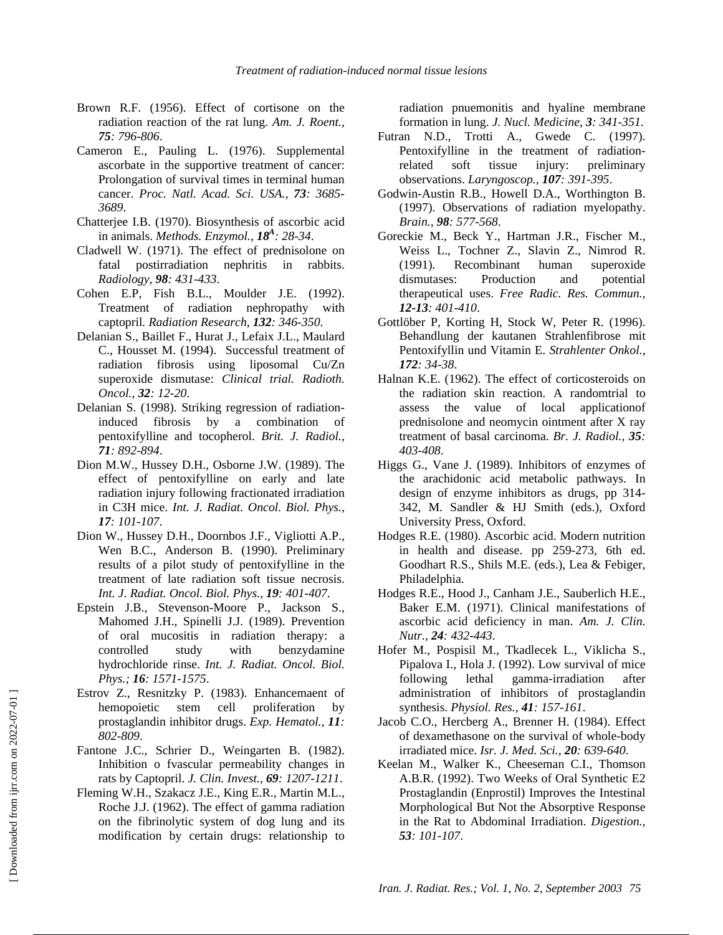- Brown R.F. (1956). Effect of cortisone on the radiation reaction of the rat lung. *Am. J. Roent., 75: 796-806*.
- Cameron E., Pauling L. (1976). Supplemental ascorbate in the supportive treatment of cancer: Prolongation of survival times in terminal human cancer. *Proc. Natl. Acad. Sci. USA., 73: 3685- 3689*.
- Chatterjee I.B. (1970). Biosynthesis of ascorbic acid in animals. *Methods. Enzymol., 18A : 28-34*.
- Cladwell W. (1971). The effect of prednisolone on fatal postirradiation nephritis in rabbits. *Radiology, 98: 431-433*.
- Cohen E.P, Fish B.L., Moulder J.E. (1992). Treatment of radiation nephropathy with captopril*. Radiation Research, 132: 346-350*.
- Delanian S., Baillet F., Hurat J., Lefaix J.L., Maulard C., Housset M. (1994). Successful treatment of radiation fibrosis using liposomal Cu/Zn superoxide dismutase: *Clinical trial. Radioth. Oncol., 32: 12-20*.
- Delanian S. (1998). Striking regression of radiationinduced fibrosis by a combination of pentoxifylline and tocopherol. *Brit. J. Radiol., 71: 892-894*.
- Dion M.W., Hussey D.H., Osborne J.W. (1989). The effect of pentoxifylline on early and late radiation injury following fractionated irradiation in C3H mice. *Int. J. Radiat. Oncol. Biol. Phys., 17: 101-107*.
- Dion W., Hussey D.H., Doornbos J.F., Vigliotti A.P., Wen B.C., Anderson B. (1990). Preliminary results of a pilot study of pentoxifylline in the treatment of late radiation soft tissue necrosis. *Int. J. Radiat. Oncol. Biol. Phys., 19: 401-407*.
- Epstein J.B., Stevenson-Moore P., Jackson S., Mahomed J.H., Spinelli J.J. (1989). Prevention of oral mucositis in radiation therapy: a controlled study with benzydamine hydrochloride rinse. *Int. J. Radiat. Oncol. Biol. Phys.; 16: 1571-1575*.
- Estrov Z., Resnitzky P. (1983). Enhancemaent of hemopoietic stem cell proliferation by prostaglandin inhibitor drugs. *Exp. Hematol., 11: 802-809*.
- Fantone J.C., Schrier D., Weingarten B. (1982). Inhibition o fvascular permeability changes in rats by Captopril. *J. Clin. Invest., 69: 1207-1211*.
- Fleming W.H., Szakacz J.E., King E.R., Martin M.L., Roche J.J. (1962). The effect of gamma radiation on the fibrinolytic system of dog lung and its modification by certain drugs: relationship to

radiation pnuemonitis and hyaline membrane formation in lung. *J. Nucl. Medicine, 3: 341-351*.

- Futran N.D., Trotti A., Gwede C. (1997). Pentoxifylline in the treatment of radiationrelated soft tissue injury: preliminary observations. *Laryngoscop., 107: 391-395*.
- Godwin-Austin R.B., Howell D.A., Worthington B. (1997). Observations of radiation myelopathy. *Brain., 98: 577-568*.
- Goreckie M., Beck Y., Hartman J.R., Fischer M., Weiss L., Tochner Z., Slavin Z., Nimrod R. (1991). Recombinant human superoxide dismutases: Production and potential therapeutical uses. *Free Radic. Res. Commun., 12-13: 401-410*.
- Gottlöber P, Korting H, Stock W, Peter R. (1996). Behandlung der kautanen Strahlenfibrose mit Pentoxifyllin und Vitamin E. *Strahlenter Onkol., 172: 34-38*.
- Halnan K.E. (1962). The effect of corticosteroids on the radiation skin reaction. A randomtrial to assess the value of local applicationof prednisolone and neomycin ointment after X ray treatment of basal carcinoma. *Br. J. Radiol., 35: 403-408*.
- Higgs G., Vane J. (1989). Inhibitors of enzymes of the arachidonic acid metabolic pathways. In design of enzyme inhibitors as drugs, pp 314- 342, M. Sandler & HJ Smith (eds.), Oxford University Press, Oxford.
- Hodges R.E. (1980). Ascorbic acid. Modern nutrition in health and disease. pp 259-273, 6th ed. Goodhart R.S., Shils M.E. (eds.), Lea & Febiger, Philadelphia.
- Hodges R.E., Hood J., Canham J.E., Sauberlich H.E., Baker E.M. (1971). Clinical manifestations of ascorbic acid deficiency in man. *Am. J. Clin. Nutr., 24: 432-443*.
- Hofer M., Pospisil M., Tkadlecek L., Viklicha S., Pipalova I., Hola J. (1992). Low survival of mice following lethal gamma-irradiation after administration of inhibitors of prostaglandin synthesis. *Physiol. Res., 41: 157-161*.
- Jacob C.O., Hercberg A., Brenner H. (1984). Effect of dexamethasone on the survival of whole-body irradiated mice. *Isr. J. Med. Sci., 20: 639-640*.
- Keelan M., Walker K., Cheeseman C.I., Thomson A.B.R. (1992). Two Weeks of Oral Synthetic E2 Prostaglandin (Enprostil) Improves the Intestinal Morphological But Not the Absorptive Response in the Rat to Abdominal Irradiation. *Digestion., 53: 101-107*.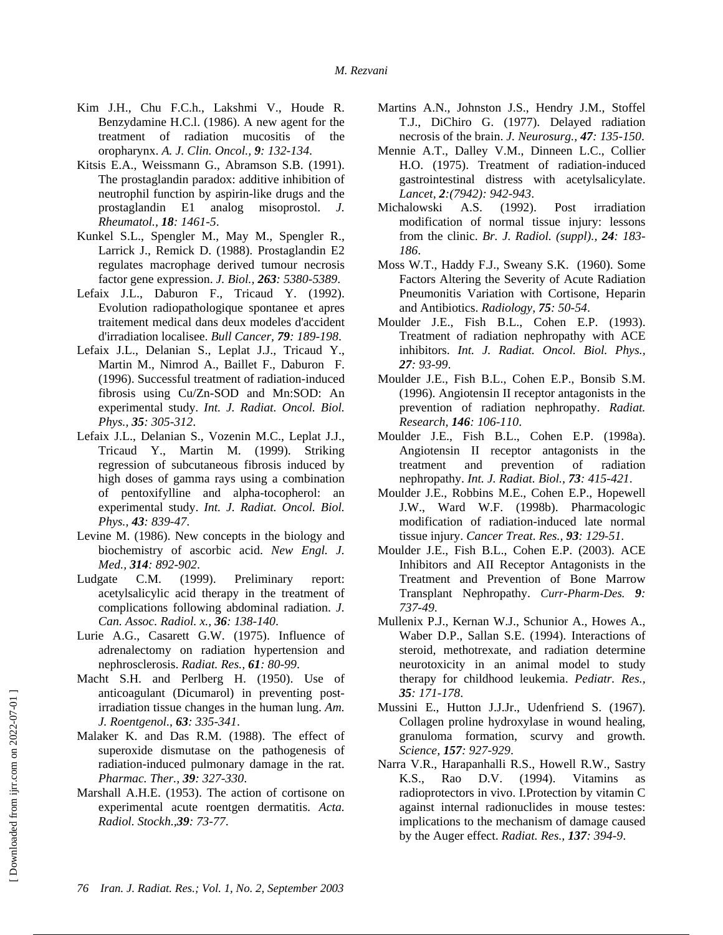- Kim J.H., Chu F.C.h., Lakshmi V., Houde R. Benzydamine H.C.l. (1986). A new agent for the treatment of radiation mucositis of the oropharynx. *A. J. Clin. Oncol., 9: 132-134*.
- Kitsis E.A., Weissmann G., Abramson S.B. (1991). The prostaglandin paradox: additive inhibition of neutrophil function by aspirin-like drugs and the prostaglandin E1 analog misoprostol. *J. Rheumatol., 18: 1461-5*.
- Kunkel S.L., Spengler M., May M., Spengler R., Larrick J., Remick D. (1988). Prostaglandin E2 regulates macrophage derived tumour necrosis factor gene expression. *J. Biol., 263: 5380-5389*.
- Lefaix J.L., Daburon F., Tricaud Y. (1992). Evolution radiopathologique spontanee et apres traitement medical dans deux modeles d'accident d'irradiation localisee. *Bull Cancer, 79: 189-198*.
- Lefaix J.L., Delanian S., Leplat J.J., Tricaud Y., Martin M., Nimrod A., Baillet F., Daburon F. (1996). Successful treatment of radiation-induced fibrosis using Cu/Zn-SOD and Mn:SOD: An experimental study. *Int. J. Radiat. Oncol. Biol. Phys., 35: 305-312*.
- Lefaix J.L., Delanian S., Vozenin M.C., Leplat J.J., Tricaud Y., Martin M. (1999). Striking regression of subcutaneous fibrosis induced by high doses of gamma rays using a combination of pentoxifylline and alpha-tocopherol: an experimental study. *Int. J. Radiat. Oncol. Biol. Phys., 43: 839-47*.
- Levine M. (1986). New concepts in the biology and biochemistry of ascorbic acid. *New Engl. J. Med., 314: 892-902*.
- Ludgate C.M. (1999). Preliminary report: acetylsalicylic acid therapy in the treatment of complications following abdominal radiation. *J. Can. Assoc. Radiol. x., 36: 138-140*.
- Lurie A.G., Casarett G.W. (1975). Influence of adrenalectomy on radiation hypertension and nephrosclerosis. *Radiat. Res., 61: 80-99*.
- Macht S.H. and Perlberg H. (1950). Use of anticoagulant (Dicumarol) in preventing postirradiation tissue changes in the human lung. *Am. J. Roentgenol., 63: 335-341*.
- Malaker K. and Das R.M. (1988). The effect of superoxide dismutase on the pathogenesis of radiation-induced pulmonary damage in the rat. *Pharmac. Ther., 39: 327-330*.
- Marshall A.H.E. (1953). The action of cortisone on experimental acute roentgen dermatitis. *Acta. Radiol. Stockh.,39: 73-77*.
- Martins A.N., Johnston J.S., Hendry J.M., Stoffel T.J., DiChiro G. (1977). Delayed radiation necrosis of the brain. *J. Neurosurg., 47: 135-150*.
- Mennie A.T., Dalley V.M., Dinneen L.C., Collier H.O. (1975). Treatment of radiation-induced gastrointestinal distress with acetylsalicylate. *Lancet, 2:(7942): 942-943*.
- Michalowski A.S. (1992). Post irradiation modification of normal tissue injury: lessons from the clinic. *Br. J. Radiol. (suppl)., 24: 183- 186*.
- Moss W.T., Haddy F.J., Sweany S.K. (1960). Some Factors Altering the Severity of Acute Radiation Pneumonitis Variation with Cortisone, Heparin and Antibiotics. *Radiology, 75: 50-54*.
- Moulder J.E., Fish B.L., Cohen E.P. (1993). Treatment of radiation nephropathy with ACE inhibitors. *Int. J. Radiat. Oncol. Biol. Phys., 27: 93-99*.
- Moulder J.E., Fish B.L., Cohen E.P., Bonsib S.M. (1996). Angiotensin II receptor antagonists in the prevention of radiation nephropathy. *Radiat. Research, 146: 106-110*.
- Moulder J.E., Fish B.L., Cohen E.P. (1998a). Angiotensin II receptor antagonists in the treatment and prevention of radiation nephropathy. *Int. J. Radiat. Biol., 73: 415-421*.
- Moulder J.E., Robbins M.E., Cohen E.P., Hopewell J.W., Ward W.F. (1998b). Pharmacologic modification of radiation-induced late normal tissue injury. *Cancer Treat. Res., 93: 129-51*.
- Moulder J.E., Fish B.L., Cohen E.P. (2003). ACE Inhibitors and AII Receptor Antagonists in the Treatment and Prevention of Bone Marrow Transplant Nephropathy. *Curr-Pharm-Des. 9: 737-49*.
- Mullenix P.J., Kernan W.J., Schunior A., Howes A., Waber D.P., Sallan S.E. (1994). Interactions of steroid, methotrexate, and radiation determine neurotoxicity in an animal model to study therapy for childhood leukemia. *Pediatr. Res., 35: 171-178*.
- Mussini E., Hutton J.J.Jr., Udenfriend S. (1967). Collagen proline hydroxylase in wound healing, granuloma formation, scurvy and growth. *Science, 157: 927-929*.
- Narra V.R., Harapanhalli R.S., Howell R.W., Sastry K.S., Rao D.V. (1994). Vitamins as radioprotectors in vivo. I.Protection by vitamin C against internal radionuclides in mouse testes: implications to the mechanism of damage caused by the Auger effect. *Radiat. Res., 137: 394-9*.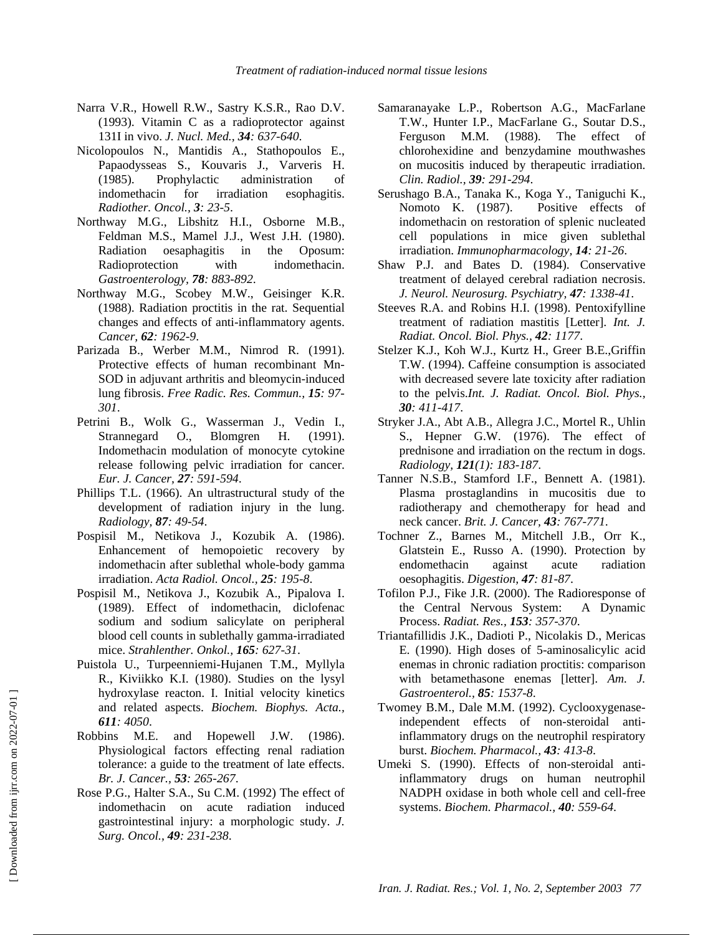- Narra V.R., Howell R.W., Sastry K.S.R., Rao D.V. (1993). Vitamin C as a radioprotector against 131I in vivo. *J. Nucl. Med., 34: 637-640*.
- Nicolopoulos N., Mantidis A., Stathopoulos E., Papaodysseas S., Kouvaris J., Varveris H. (1985). Prophylactic administration of indomethacin for irradiation esophagitis. *Radiother. Oncol., 3: 23-5*.
- Northway M.G., Libshitz H.I., Osborne M.B., Feldman M.S., Mamel J.J., West J.H. (1980). Radiation oesaphagitis in the Oposum: Radioprotection with indomethacin. *Gastroenterology, 78: 883-892*.
- Northway M.G., Scobey M.W., Geisinger K.R. (1988). Radiation proctitis in the rat. Sequential changes and effects of anti-inflammatory agents. *Cancer, 62: 1962-9*.
- Parizada B., Werber M.M., Nimrod R. (1991). Protective effects of human recombinant Mn-SOD in adjuvant arthritis and bleomycin-induced lung fibrosis. *Free Radic. Res. Commun., 15: 97- 301*.
- Petrini B., Wolk G., Wasserman J., Vedin I., Strannegard O., Blomgren H. (1991). Indomethacin modulation of monocyte cytokine release following pelvic irradiation for cancer. *Eur. J. Cancer, 27: 591-594*.
- Phillips T.L. (1966). An ultrastructural study of the development of radiation injury in the lung. *Radiology, 87: 49-54*.
- Pospisil M., Netikova J., Kozubik A. (1986). Enhancement of hemopoietic recovery by indomethacin after sublethal whole-body gamma irradiation. *Acta Radiol. Oncol., 25: 195-8*.
- Pospisil M., Netikova J., Kozubik A., Pipalova I. (1989). Effect of indomethacin, diclofenac sodium and sodium salicylate on peripheral blood cell counts in sublethally gamma-irradiated mice. *Strahlenther. Onkol., 165: 627-31*.
- Puistola U., Turpeenniemi-Hujanen T.M., Myllyla R., Kiviikko K.I. (1980). Studies on the lysyl hydroxylase reacton. I. Initial velocity kinetics and related aspects. *Biochem. Biophys. Acta., 611: 4050*.
- Robbins M.E. and Hopewell J.W. (1986). Physiological factors effecting renal radiation tolerance: a guide to the treatment of late effects. *Br. J. Cancer., 53: 265-267*.
- Rose P.G., Halter S.A., Su C.M. (1992) The effect of indomethacin on acute radiation induced gastrointestinal injury: a morphologic study. *J. Surg. Oncol., 49: 231-238*.
- Samaranayake L.P., Robertson A.G., MacFarlane T.W., Hunter I.P., MacFarlane G., Soutar D.S., Ferguson M.M. (1988). The effect of chlorohexidine and benzydamine mouthwashes on mucositis induced by therapeutic irradiation. *Clin. Radiol., 39: 291-294*.
- Serushago B.A., Tanaka K., Koga Y., Taniguchi K., Nomoto K. (1987). Positive effects of indomethacin on restoration of splenic nucleated cell populations in mice given sublethal irradiation. *Immunopharmacology, 14: 21-26*.
- Shaw P.J. and Bates D. (1984). Conservative treatment of delayed cerebral radiation necrosis. *J. Neurol. Neurosurg. Psychiatry, 47: 1338-41*.
- Steeves R.A. and Robins H.I. (1998). Pentoxifylline treatment of radiation mastitis [Letter]. *Int. J. Radiat. Oncol. Biol. Phys., 42: 1177*.
- Stelzer K.J., Koh W.J., Kurtz H., Greer B.E.,Griffin T.W. (1994). Caffeine consumption is associated with decreased severe late toxicity after radiation to the pelvis.*Int. J. Radiat. Oncol. Biol. Phys., 30: 411-417*.
- Stryker J.A., Abt A.B., Allegra J.C., Mortel R., Uhlin S., Hepner G.W. (1976). The effect of prednisone and irradiation on the rectum in dogs. *Radiology, 121(1): 183-187*.
- Tanner N.S.B., Stamford I.F., Bennett A. (1981). Plasma prostaglandins in mucositis due to radiotherapy and chemotherapy for head and neck cancer. *Brit. J. Cancer, 43: 767-771*.
- Tochner Z., Barnes M., Mitchell J.B., Orr K., Glatstein E., Russo A. (1990). Protection by endomethacin against acute radiation oesophagitis. *Digestion, 47: 81-87*.
- Tofilon P.J., Fike J.R. (2000). The Radioresponse of the Central Nervous System: A Dynamic Process. *Radiat. Res., 153: 357-370*.
- Triantafillidis J.K., Dadioti P., Nicolakis D., Mericas E. (1990). High doses of 5-aminosalicylic acid enemas in chronic radiation proctitis: comparison with betamethasone enemas [letter]. *Am. J. Gastroenterol., 85: 1537-8*.
- Twomey B.M., Dale M.M. (1992). Cyclooxygenaseindependent effects of non-steroidal antiinflammatory drugs on the neutrophil respiratory burst. *Biochem. Pharmacol., 43: 413-8*.
- Umeki S. (1990). Effects of non-steroidal antiinflammatory drugs on human neutrophil NADPH oxidase in both whole cell and cell-free systems. *Biochem. Pharmacol., 40: 559-64*.